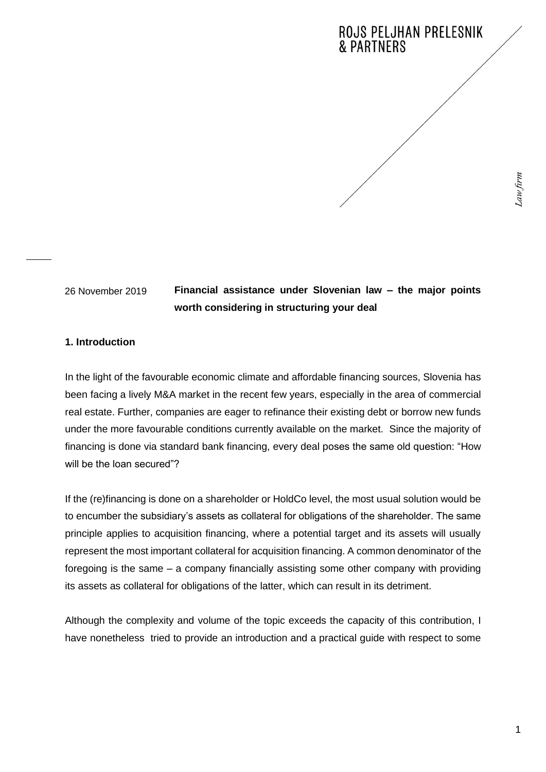# ROJS PELJHAN PRELESNIK **& PARTNERS**

26 November 2019

# **Financial assistance under Slovenian law – the major points worth considering in structuring your deal**

# **1. Introduction**

In the light of the favourable economic climate and affordable financing sources, Slovenia has been facing a lively M&A market in the recent few years, especially in the area of commercial real estate. Further, companies are eager to refinance their existing debt or borrow new funds under the more favourable conditions currently available on the market. Since the majority of financing is done via standard bank financing, every deal poses the same old question: "How will be the loan secured"?

If the (re)financing is done on a shareholder or HoldCo level, the most usual solution would be to encumber the subsidiary's assets as collateral for obligations of the shareholder. The same principle applies to acquisition financing, where a potential target and its assets will usually represent the most important collateral for acquisition financing. A common denominator of the foregoing is the same – a company financially assisting some other company with providing its assets as collateral for obligations of the latter, which can result in its detriment.

Although the complexity and volume of the topic exceeds the capacity of this contribution, I have nonetheless tried to provide an introduction and a practical guide with respect to some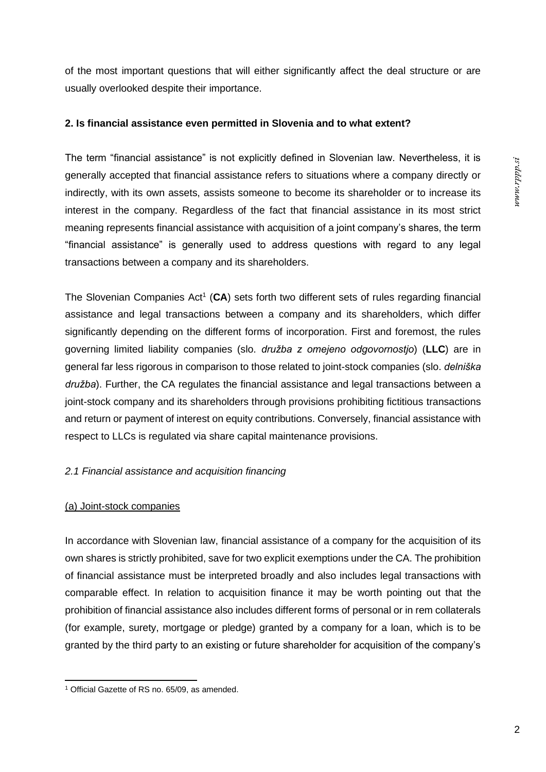of the most important questions that will either significantly affect the deal structure or are usually overlooked despite their importance.

### **2. Is financial assistance even permitted in Slovenia and to what extent?**

The term "financial assistance" is not explicitly defined in Slovenian law. Nevertheless, it is generally accepted that financial assistance refers to situations where a company directly or indirectly, with its own assets, assists someone to become its shareholder or to increase its interest in the company. Regardless of the fact that financial assistance in its most strict meaning represents financial assistance with acquisition of a joint company's shares, the term "financial assistance" is generally used to address questions with regard to any legal transactions between a company and its shareholders.

The Slovenian Companies Act<sup>1</sup> (CA) sets forth two different sets of rules regarding financial assistance and legal transactions between a company and its shareholders, which differ significantly depending on the different forms of incorporation. First and foremost, the rules governing limited liability companies (slo. *družba z omejeno odgovornostjo*) (**LLC**) are in general far less rigorous in comparison to those related to joint-stock companies (slo. *delniška družba*). Further, the CA regulates the financial assistance and legal transactions between a joint-stock company and its shareholders through provisions prohibiting fictitious transactions and return or payment of interest on equity contributions. Conversely, financial assistance with respect to LLCs is regulated via share capital maintenance provisions.

# *2.1 Financial assistance and acquisition financing*

# (a) Joint-stock companies

In accordance with Slovenian law, financial assistance of a company for the acquisition of its own shares is strictly prohibited, save for two explicit exemptions under the CA. The prohibition of financial assistance must be interpreted broadly and also includes legal transactions with comparable effect. In relation to acquisition finance it may be worth pointing out that the prohibition of financial assistance also includes different forms of personal or in rem collaterals (for example, surety, mortgage or pledge) granted by a company for a loan, which is to be granted by the third party to an existing or future shareholder for acquisition of the company's

<sup>1</sup> Official Gazette of RS no. 65/09, as amended.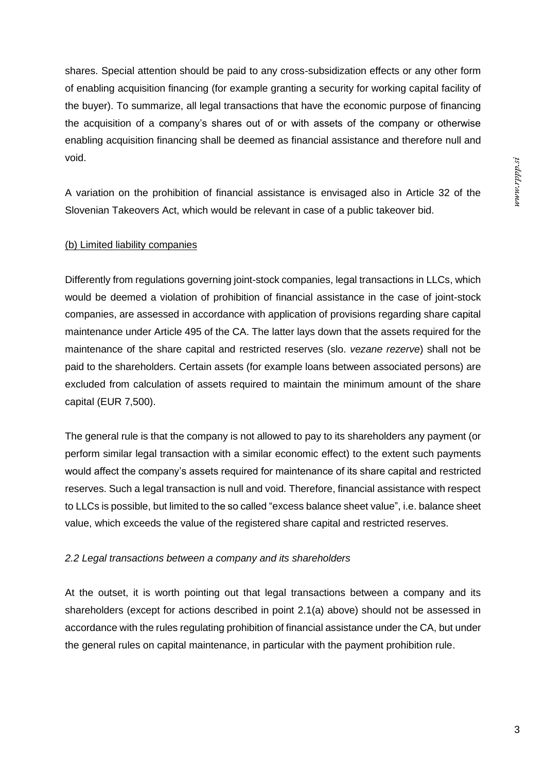shares. Special attention should be paid to any cross-subsidization effects or any other form of enabling acquisition financing (for example granting a security for working capital facility of the buyer). To summarize, all legal transactions that have the economic purpose of financing the acquisition of a company's shares out of or with assets of the company or otherwise enabling acquisition financing shall be deemed as financial assistance and therefore null and void.

A variation on the prohibition of financial assistance is envisaged also in Article 32 of the Slovenian Takeovers Act, which would be relevant in case of a public takeover bid.

# (b) Limited liability companies

Differently from regulations governing joint-stock companies, legal transactions in LLCs, which would be deemed a violation of prohibition of financial assistance in the case of joint-stock companies, are assessed in accordance with application of provisions regarding share capital maintenance under Article 495 of the CA. The latter lays down that the assets required for the maintenance of the share capital and restricted reserves (slo. *vezane rezerve*) shall not be paid to the shareholders. Certain assets (for example loans between associated persons) are excluded from calculation of assets required to maintain the minimum amount of the share capital (EUR 7,500).

The general rule is that the company is not allowed to pay to its shareholders any payment (or perform similar legal transaction with a similar economic effect) to the extent such payments would affect the company's assets required for maintenance of its share capital and restricted reserves. Such a legal transaction is null and void. Therefore, financial assistance with respect to LLCs is possible, but limited to the so called "excess balance sheet value", i.e. balance sheet value, which exceeds the value of the registered share capital and restricted reserves.

# *2.2 Legal transactions between a company and its shareholders*

At the outset, it is worth pointing out that legal transactions between a company and its shareholders (except for actions described in point 2.1(a) above) should not be assessed in accordance with the rules regulating prohibition of financial assistance under the CA, but under the general rules on capital maintenance, in particular with the payment prohibition rule.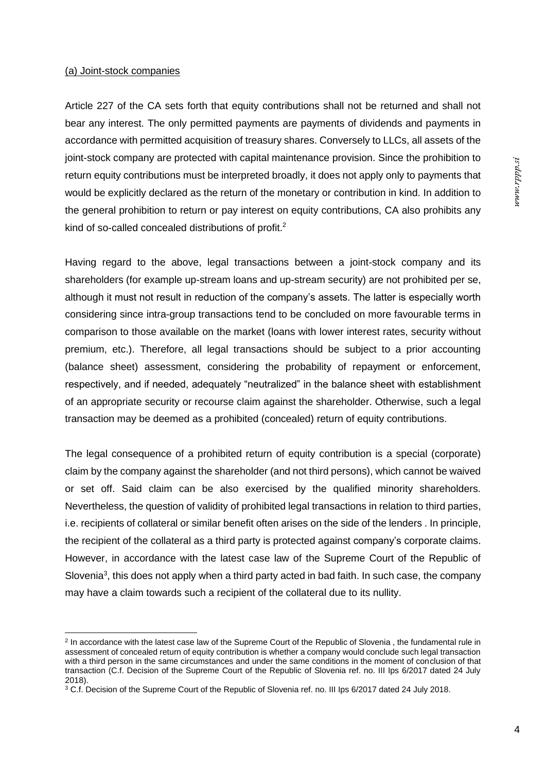### (a) Joint-stock companies

Article 227 of the CA sets forth that equity contributions shall not be returned and shall not bear any interest. The only permitted payments are payments of dividends and payments in accordance with permitted acquisition of treasury shares. Conversely to LLCs, all assets of the joint-stock company are protected with capital maintenance provision. Since the prohibition to return equity contributions must be interpreted broadly, it does not apply only to payments that would be explicitly declared as the return of the monetary or contribution in kind. In addition to the general prohibition to return or pay interest on equity contributions, CA also prohibits any kind of so-called concealed distributions of profit.<sup>2</sup>

Having regard to the above, legal transactions between a joint-stock company and its shareholders (for example up-stream loans and up-stream security) are not prohibited per se, although it must not result in reduction of the company's assets. The latter is especially worth considering since intra-group transactions tend to be concluded on more favourable terms in comparison to those available on the market (loans with lower interest rates, security without premium, etc.). Therefore, all legal transactions should be subject to a prior accounting (balance sheet) assessment, considering the probability of repayment or enforcement, respectively, and if needed, adequately "neutralized" in the balance sheet with establishment of an appropriate security or recourse claim against the shareholder. Otherwise, such a legal transaction may be deemed as a prohibited (concealed) return of equity contributions.

The legal consequence of a prohibited return of equity contribution is a special (corporate) claim by the company against the shareholder (and not third persons), which cannot be waived or set off. Said claim can be also exercised by the qualified minority shareholders. Nevertheless, the question of validity of prohibited legal transactions in relation to third parties, i.e. recipients of collateral or similar benefit often arises on the side of the lenders . In principle, the recipient of the collateral as a third party is protected against company's corporate claims. However, in accordance with the latest case law of the Supreme Court of the Republic of Slovenia<sup>3</sup>, this does not apply when a third party acted in bad faith. In such case, the company may have a claim towards such a recipient of the collateral due to its nullity.

<sup>&</sup>lt;sup>2</sup> In accordance with the latest case law of the Supreme Court of the Republic of Slovenia, the fundamental rule in assessment of concealed return of equity contribution is whether a company would conclude such legal transaction with a third person in the same circumstances and under the same conditions in the moment of conclusion of that transaction (C.f. Decision of the Supreme Court of the Republic of Slovenia ref. no. III Ips 6/2017 dated 24 July 2018).

<sup>3</sup> C.f. Decision of the Supreme Court of the Republic of Slovenia ref. no. III Ips 6/2017 dated 24 July 2018.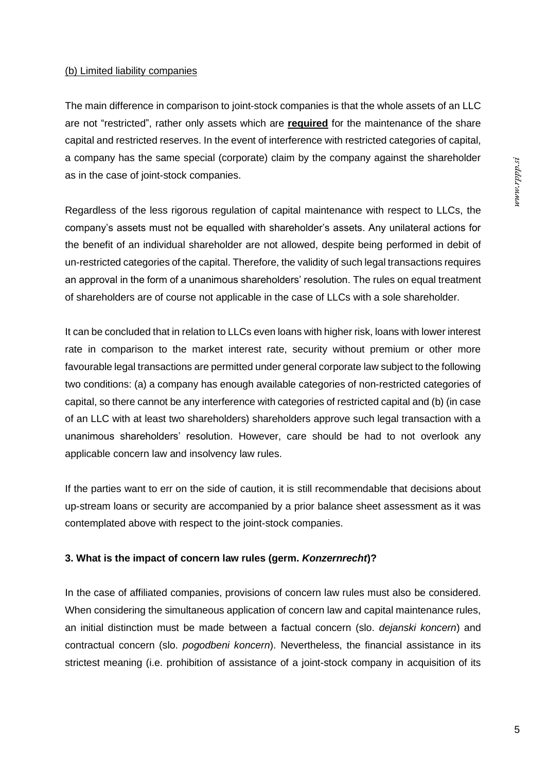### (b) Limited liability companies

The main difference in comparison to joint-stock companies is that the whole assets of an LLC are not "restricted", rather only assets which are **required** for the maintenance of the share capital and restricted reserves. In the event of interference with restricted categories of capital, a company has the same special (corporate) claim by the company against the shareholder as in the case of joint-stock companies.

Regardless of the less rigorous regulation of capital maintenance with respect to LLCs, the company's assets must not be equalled with shareholder's assets. Any unilateral actions for the benefit of an individual shareholder are not allowed, despite being performed in debit of un-restricted categories of the capital. Therefore, the validity of such legal transactions requires an approval in the form of a unanimous shareholders' resolution. The rules on equal treatment of shareholders are of course not applicable in the case of LLCs with a sole shareholder.

It can be concluded that in relation to LLCs even loans with higher risk, loans with lower interest rate in comparison to the market interest rate, security without premium or other more favourable legal transactions are permitted under general corporate law subject to the following two conditions: (a) a company has enough available categories of non-restricted categories of capital, so there cannot be any interference with categories of restricted capital and (b) (in case of an LLC with at least two shareholders) shareholders approve such legal transaction with a unanimous shareholders' resolution. However, care should be had to not overlook any applicable concern law and insolvency law rules.

If the parties want to err on the side of caution, it is still recommendable that decisions about up-stream loans or security are accompanied by a prior balance sheet assessment as it was contemplated above with respect to the joint-stock companies.

# **3. What is the impact of concern law rules (germ.** *Konzernrecht***)?**

In the case of affiliated companies, provisions of concern law rules must also be considered. When considering the simultaneous application of concern law and capital maintenance rules, an initial distinction must be made between a factual concern (slo. *dejanski koncern*) and contractual concern (slo. *pogodbeni koncern*). Nevertheless, the financial assistance in its strictest meaning (i.e. prohibition of assistance of a joint-stock company in acquisition of its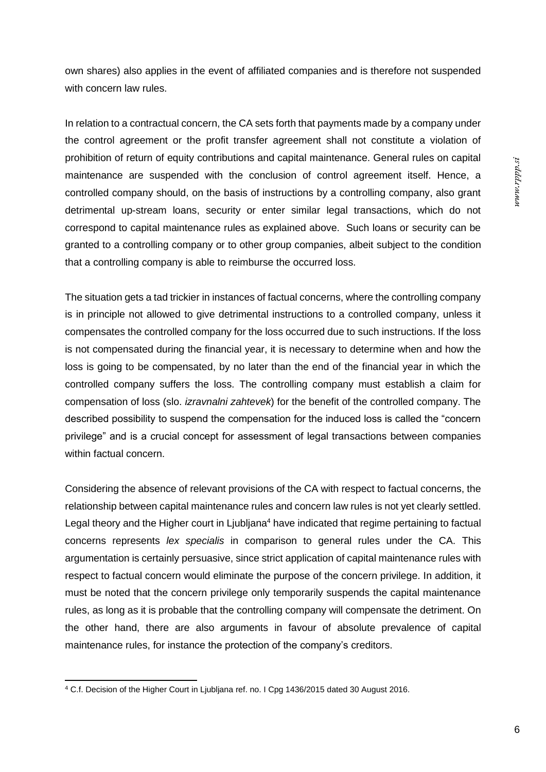own shares) also applies in the event of affiliated companies and is therefore not suspended with concern law rules.

In relation to a contractual concern, the CA sets forth that payments made by a company under the control agreement or the profit transfer agreement shall not constitute a violation of prohibition of return of equity contributions and capital maintenance. General rules on capital maintenance are suspended with the conclusion of control agreement itself. Hence, a controlled company should, on the basis of instructions by a controlling company, also grant detrimental up-stream loans, security or enter similar legal transactions, which do not correspond to capital maintenance rules as explained above. Such loans or security can be granted to a controlling company or to other group companies, albeit subject to the condition that a controlling company is able to reimburse the occurred loss.

The situation gets a tad trickier in instances of factual concerns, where the controlling company is in principle not allowed to give detrimental instructions to a controlled company, unless it compensates the controlled company for the loss occurred due to such instructions. If the loss is not compensated during the financial year, it is necessary to determine when and how the loss is going to be compensated, by no later than the end of the financial year in which the controlled company suffers the loss. The controlling company must establish a claim for compensation of loss (slo. *izravnalni zahtevek*) for the benefit of the controlled company. The described possibility to suspend the compensation for the induced loss is called the "concern privilege" and is a crucial concept for assessment of legal transactions between companies within factual concern.

Considering the absence of relevant provisions of the CA with respect to factual concerns, the relationship between capital maintenance rules and concern law rules is not yet clearly settled. Legal theory and the Higher court in Ljubljana<sup>4</sup> have indicated that regime pertaining to factual concerns represents *lex specialis* in comparison to general rules under the CA. This argumentation is certainly persuasive, since strict application of capital maintenance rules with respect to factual concern would eliminate the purpose of the concern privilege. In addition, it must be noted that the concern privilege only temporarily suspends the capital maintenance rules, as long as it is probable that the controlling company will compensate the detriment. On the other hand, there are also arguments in favour of absolute prevalence of capital maintenance rules, for instance the protection of the company's creditors.

<sup>4</sup> C.f. Decision of the Higher Court in Ljubljana ref. no. I Cpg 1436/2015 dated 30 August 2016.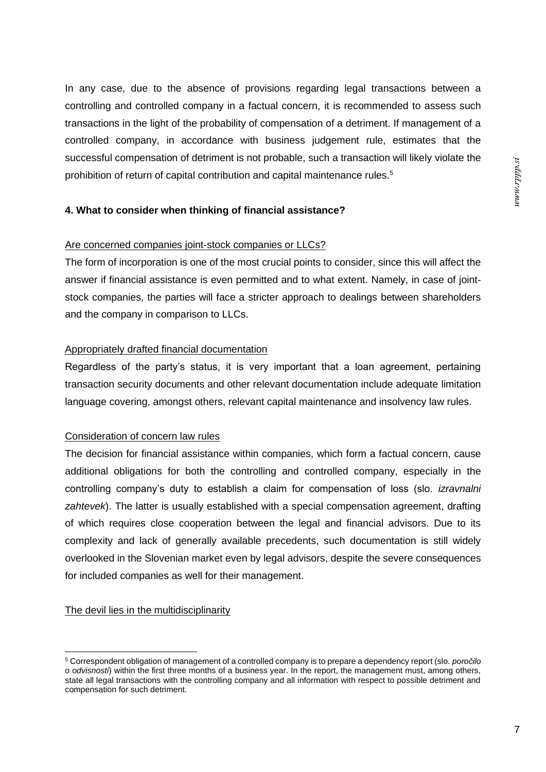In any case, due to the absence of provisions regarding legal transactions between a controlling and controlled company in a factual concern, it is recommended to assess such transactions in the light of the probability of compensation of a detriment. If management of a controlled company, in accordance with business judgement rule, estimates that the successful compensation of detriment is not probable, such a transaction will likely violate the prohibition of return of capital contribution and capital maintenance rules.<sup>5</sup>

# **4. What to consider when thinking of financial assistance?**

### Are concerned companies joint-stock companies or LLCs?

The form of incorporation is one of the most crucial points to consider, since this will affect the answer if financial assistance is even permitted and to what extent. Namely, in case of jointstock companies, the parties will face a stricter approach to dealings between shareholders and the company in comparison to LLCs.

# Appropriately drafted financial documentation

Regardless of the party's status, it is very important that a loan agreement, pertaining transaction security documents and other relevant documentation include adequate limitation language covering, amongst others, relevant capital maintenance and insolvency law rules.

### Consideration of concern law rules

The decision for financial assistance within companies, which form a factual concern, cause additional obligations for both the controlling and controlled company, especially in the controlling company's duty to establish a claim for compensation of loss (slo. *izravnalni zahtevek*). The latter is usually established with a special compensation agreement, drafting of which requires close cooperation between the legal and financial advisors. Due to its complexity and lack of generally available precedents, such documentation is still widely overlooked in the Slovenian market even by legal advisors, despite the severe consequences for included companies as well for their management.

### The devil lies in the multidisciplinarity

<sup>5</sup> Correspondent obligation of management of a controlled company is to prepare a dependency report (slo. *poročilo o odvisnosti*) within the first three months of a business year. In the report, the management must, among others, state all legal transactions with the controlling company and all information with respect to possible detriment and compensation for such detriment.